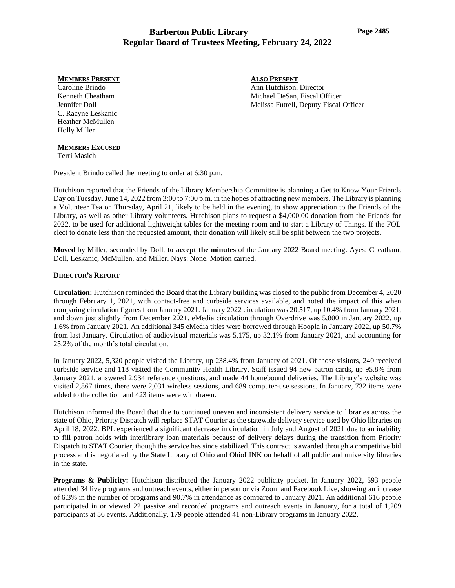#### **MEMBERS PRESENT**

Caroline Brindo Kenneth Cheatham Jennifer Doll C. Racyne Leskanic Heather McMullen Holly Miller

## **MEMBERS EXCUSED**

Terri Masich

President Brindo called the meeting to order at 6:30 p.m.

Hutchison reported that the Friends of the Library Membership Committee is planning a Get to Know Your Friends Day on Tuesday, June 14, 2022 from 3:00 to 7:00 p.m. in the hopes of attracting new members. The Library is planning a Volunteer Tea on Thursday, April 21, likely to be held in the evening, to show appreciation to the Friends of the Library, as well as other Library volunteers. Hutchison plans to request a \$4,000.00 donation from the Friends for 2022, to be used for additional lightweight tables for the meeting room and to start a Library of Things. If the FOL elect to donate less than the requested amount, their donation will likely still be split between the two projects.

**Moved** by Miller, seconded by Doll, **to accept the minutes** of the January 2022 Board meeting. Ayes: Cheatham, Doll, Leskanic, McMullen, and Miller. Nays: None. Motion carried.

## **DIRECTOR'S REPORT**

**Circulation:** Hutchison reminded the Board that the Library building was closed to the public from December 4, 2020 through February 1, 2021, with contact-free and curbside services available, and noted the impact of this when comparing circulation figures from January 2021. January 2022 circulation was 20,517, up 10.4% from January 2021, and down just slightly from December 2021. eMedia circulation through Overdrive was 5,800 in January 2022, up 1.6% from January 2021. An additional 345 eMedia titles were borrowed through Hoopla in January 2022, up 50.7% from last January. Circulation of audiovisual materials was 5,175, up 32.1% from January 2021, and accounting for 25.2% of the month's total circulation.

In January 2022, 5,320 people visited the Library, up 238.4% from January of 2021. Of those visitors, 240 received curbside service and 118 visited the Community Health Library. Staff issued 94 new patron cards, up 95.8% from January 2021, answered 2,934 reference questions, and made 44 homebound deliveries. The Library's website was visited 2,867 times, there were 2,031 wireless sessions, and 689 computer-use sessions. In January, 732 items were added to the collection and 423 items were withdrawn.

Hutchison informed the Board that due to continued uneven and inconsistent delivery service to libraries across the state of Ohio, Priority Dispatch will replace STAT Courier as the statewide delivery service used by Ohio libraries on April 18, 2022. BPL experienced a significant decrease in circulation in July and August of 2021 due to an inability to fill patron holds with interlibrary loan materials because of delivery delays during the transition from Priority Dispatch to STAT Courier, though the service has since stabilized. This contract is awarded through a competitive bid process and is negotiated by the State Library of Ohio and OhioLINK on behalf of all public and university libraries in the state.

**Programs & Publicity:** Hutchison distributed the January 2022 publicity packet. In January 2022, 593 people attended 34 live programs and outreach events, either in person or via Zoom and Facebook Live, showing an increase of 6.3% in the number of programs and 90.7% in attendance as compared to January 2021. An additional 616 people participated in or viewed 22 passive and recorded programs and outreach events in January, for a total of 1,209 participants at 56 events. Additionally, 179 people attended 41 non-Library programs in January 2022.

**ALSO PRESENT** Ann Hutchison, Director Michael DeSan, Fiscal Officer Melissa Futrell, Deputy Fiscal Officer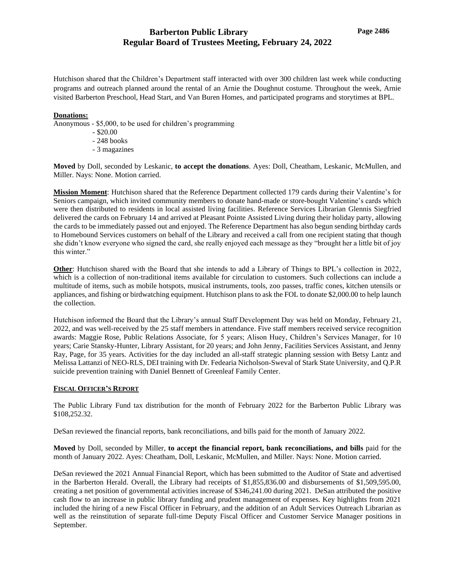Hutchison shared that the Children's Department staff interacted with over 300 children last week while conducting programs and outreach planned around the rental of an Arnie the Doughnut costume. Throughout the week, Arnie visited Barberton Preschool, Head Start, and Van Buren Homes, and participated programs and storytimes at BPL.

## **Donations:**

- Anonymous \$5,000, to be used for children's programming
	- \$20.00
	- 248 books
	- 3 magazines

**Moved** by Doll, seconded by Leskanic, **to accept the donations**. Ayes: Doll, Cheatham, Leskanic, McMullen, and Miller. Nays: None. Motion carried.

**Mission Moment**: Hutchison shared that the Reference Department collected 179 cards during their Valentine's for Seniors campaign, which invited community members to donate hand-made or store-bought Valentine's cards which were then distributed to residents in local assisted living facilities. Reference Services Librarian Glennis Siegfried delivered the cards on February 14 and arrived at Pleasant Pointe Assisted Living during their holiday party, allowing the cards to be immediately passed out and enjoyed. The Reference Department has also begun sending birthday cards to Homebound Services customers on behalf of the Library and received a call from one recipient stating that though she didn't know everyone who signed the card, she really enjoyed each message as they "brought her a little bit of joy this winter."

**Other**: Hutchison shared with the Board that she intends to add a Library of Things to BPL's collection in 2022, which is a collection of non-traditional items available for circulation to customers. Such collections can include a multitude of items, such as mobile hotspots, musical instruments, tools, zoo passes, traffic cones, kitchen utensils or appliances, and fishing or birdwatching equipment. Hutchison plans to ask the FOL to donate \$2,000.00 to help launch the collection.

Hutchison informed the Board that the Library's annual Staff Development Day was held on Monday, February 21, 2022, and was well-received by the 25 staff members in attendance. Five staff members received service recognition awards: Maggie Rose, Public Relations Associate, for 5 years; Alison Huey, Children's Services Manager, for 10 years; Carie Stansky-Hunter, Library Assistant, for 20 years; and John Jenny, Facilities Services Assistant, and Jenny Ray, Page, for 35 years. Activities for the day included an all-staff strategic planning session with Betsy Lantz and Melissa Lattanzi of NEO-RLS, DEI training with Dr. Fedearia Nicholson-Sweval of Stark State University, and Q.P.R suicide prevention training with Daniel Bennett of Greenleaf Family Center.

## **FISCAL OFFICER'S REPORT**

The Public Library Fund tax distribution for the month of February 2022 for the Barberton Public Library was \$108,252.32.

DeSan reviewed the financial reports, bank reconciliations, and bills paid for the month of January 2022.

**Moved** by Doll, seconded by Miller, **to accept the financial report, bank reconciliations, and bills** paid for the month of January 2022. Ayes: Cheatham, Doll, Leskanic, McMullen, and Miller. Nays: None. Motion carried.

DeSan reviewed the 2021 Annual Financial Report, which has been submitted to the Auditor of State and advertised in the Barberton Herald. Overall, the Library had receipts of \$1,855,836.00 and disbursements of \$1,509,595.00, creating a net position of governmental activities increase of \$346,241.00 during 2021. DeSan attributed the positive cash flow to an increase in public library funding and prudent management of expenses. Key highlights from 2021 included the hiring of a new Fiscal Officer in February, and the addition of an Adult Services Outreach Librarian as well as the reinstitution of separate full-time Deputy Fiscal Officer and Customer Service Manager positions in September.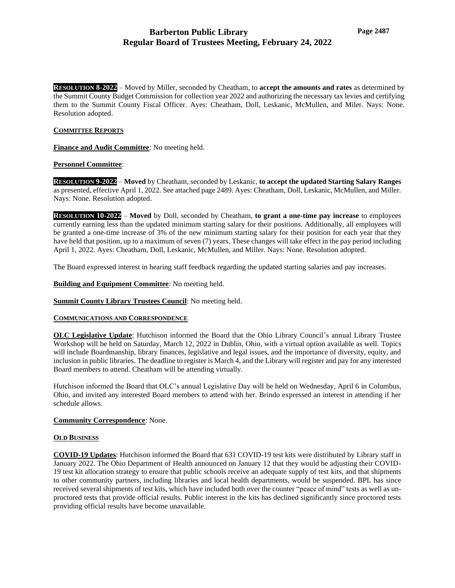**RESOLUTION 8-2022** – Moved by Miller, seconded by Cheatham, to **accept the amounts and rates** as determined by the Summit County Budget Commission for collection year 2022 and authorizing the necessary tax levies and certifying them to the Summit County Fiscal Officer. Ayes: Cheatham, Doll, Leskanic, McMullen, and Miler. Nays: None. Resolution adopted.

## **COMMITTEE REPORTS**

**Finance and Audit Committee**: No meeting held.

## **Personnel Committee**:

**RESOLUTION 9-2022** – **Moved** by Cheatham, seconded by Leskanic, **to accept the updated Starting Salary Ranges** as presented, effective April 1, 2022. See attached page 2489. Ayes: Cheatham, Doll, Leskanic, McMullen, and Miller. Nays: None. Resolution adopted.

**RESOLUTION 10-2022** – **Moved** by Doll, seconded by Cheatham, **to grant a one-time pay increase** to employees currently earning less than the updated minimum starting salary for their positions. Additionally, all employees will be granted a one-time increase of 3% of the new minimum starting salary for their position for each year that they have held that position, up to a maximum of seven (7) years. These changes will take effect in the pay period including April 1, 2022. Ayes: Cheatham, Doll, Leskanic, McMullen, and Miller. Nays: None. Resolution adopted.

The Board expressed interest in hearing staff feedback regarding the updated starting salaries and pay increases.

**Building and Equipment Committee**: No meeting held.

**Summit County Library Trustees Council**: No meeting held.

## **COMMUNICATIONS AND CORRESPONDENCE**

**OLC Legislative Update**: Hutchison informed the Board that the Ohio Library Council's annual Library Trustee Workshop will be held on Saturday, March 12, 2022 in Dublin, Ohio, with a virtual option available as well. Topics will include Boardmanship, library finances, legislative and legal issues, and the importance of diversity, equity, and inclusion in public libraries. The deadline to register is March 4, and the Library will register and pay for any interested Board members to attend. Cheatham will be attending virtually.

Hutchison informed the Board that OLC's annual Legislative Day will be held on Wednesday, April 6 in Columbus, Ohio, and invited any interested Board members to attend with her. Brindo expressed an interest in attending if her schedule allows.

## **Community Correspondence**: None.

## **OLD BUSINESS**

**COVID-19 Updates**: Hutchison informed the Board that 631 COVID-19 test kits were distributed by Library staff in January 2022. The Ohio Department of Health announced on January 12 that they would be adjusting their COVID-19 test kit allocation strategy to ensure that public schools receive an adequate supply of test kits, and that shipments to other community partners, including libraries and local health departments, would be suspended. BPL has since received several shipments of test kits, which have included both over the counter "peace of mind" tests as well as unproctored tests that provide official results. Public interest in the kits has declined significantly since proctored tests providing official results have become unavailable.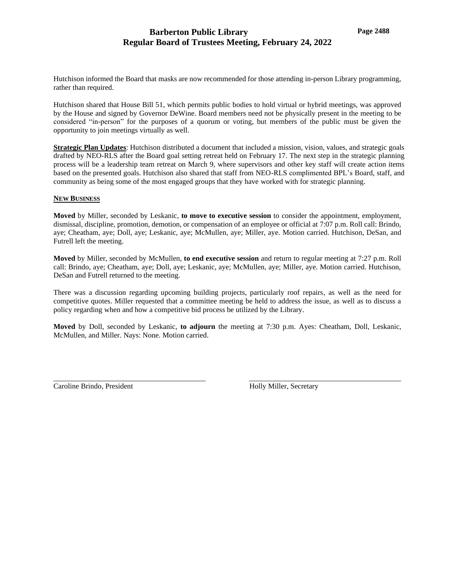Hutchison informed the Board that masks are now recommended for those attending in-person Library programming, rather than required.

Hutchison shared that House Bill 51, which permits public bodies to hold virtual or hybrid meetings, was approved by the House and signed by Governor DeWine. Board members need not be physically present in the meeting to be considered "in-person" for the purposes of a quorum or voting, but members of the public must be given the opportunity to join meetings virtually as well.

**Strategic Plan Updates**: Hutchison distributed a document that included a mission, vision, values, and strategic goals drafted by NEO-RLS after the Board goal setting retreat held on February 17. The next step in the strategic planning process will be a leadership team retreat on March 9, where supervisors and other key staff will create action items based on the presented goals. Hutchison also shared that staff from NEO-RLS complimented BPL's Board, staff, and community as being some of the most engaged groups that they have worked with for strategic planning.

## **NEW BUSINESS**

**Moved** by Miller, seconded by Leskanic, **to move to executive session** to consider the appointment, employment, dismissal, discipline, promotion, demotion, or compensation of an employee or official at 7:07 p.m. Roll call: Brindo, aye; Cheatham, aye; Doll, aye; Leskanic, aye; McMullen, aye; Miller, aye. Motion carried. Hutchison, DeSan, and Futrell left the meeting.

**Moved** by Miller, seconded by McMullen, **to end executive session** and return to regular meeting at 7:27 p.m. Roll call: Brindo, aye; Cheatham, aye; Doll, aye; Leskanic, aye; McMullen, aye; Miller, aye. Motion carried. Hutchison, DeSan and Futrell returned to the meeting.

There was a discussion regarding upcoming building projects, particularly roof repairs, as well as the need for competitive quotes. Miller requested that a committee meeting be held to address the issue, as well as to discuss a policy regarding when and how a competitive bid process be utilized by the Library.

**Moved** by Doll, seconded by Leskanic, **to adjourn** the meeting at 7:30 p.m. Ayes: Cheatham, Doll, Leskanic, McMullen, and Miller. Nays: None. Motion carried.

\_\_\_\_\_\_\_\_\_\_\_\_\_\_\_\_\_\_\_\_\_\_\_\_\_\_\_\_\_\_\_\_\_\_\_\_\_\_\_\_\_ \_\_\_\_\_\_\_\_\_\_\_\_\_\_\_\_\_\_\_\_\_\_\_\_\_\_\_\_\_\_\_\_\_\_\_\_\_\_\_\_\_

Caroline Brindo, President Theorem and Holly Miller, Secretary